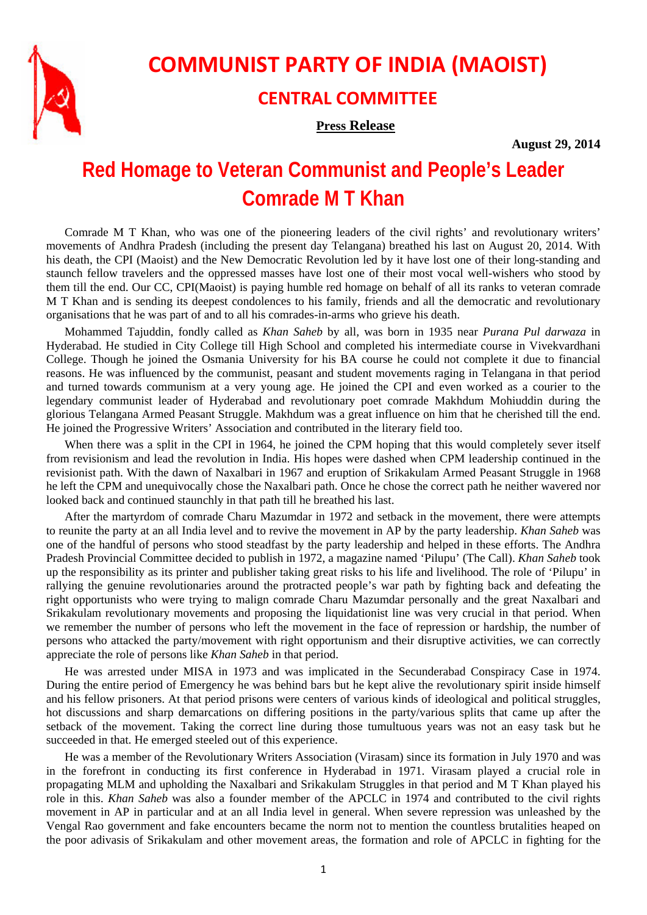

## **COMMUNIST PARTY OF INDIA (MAOIST)**

## **CENTRAL COMMITTEE**

## **Press Release**

**August 29, 2014** 

## **Red Homage to Veteran Communist and People's Leader Comrade M T Khan**

Comrade M T Khan, who was one of the pioneering leaders of the civil rights' and revolutionary writers' movements of Andhra Pradesh (including the present day Telangana) breathed his last on August 20, 2014. With his death, the CPI (Maoist) and the New Democratic Revolution led by it have lost one of their long-standing and staunch fellow travelers and the oppressed masses have lost one of their most vocal well-wishers who stood by them till the end. Our CC, CPI(Maoist) is paying humble red homage on behalf of all its ranks to veteran comrade M T Khan and is sending its deepest condolences to his family, friends and all the democratic and revolutionary organisations that he was part of and to all his comrades-in-arms who grieve his death.

Mohammed Tajuddin, fondly called as *Khan Saheb* by all*,* was born in 1935 near *Purana Pul darwaza* in Hyderabad. He studied in City College till High School and completed his intermediate course in Vivekvardhani College. Though he joined the Osmania University for his BA course he could not complete it due to financial reasons. He was influenced by the communist, peasant and student movements raging in Telangana in that period and turned towards communism at a very young age. He joined the CPI and even worked as a courier to the legendary communist leader of Hyderabad and revolutionary poet comrade Makhdum Mohiuddin during the glorious Telangana Armed Peasant Struggle. Makhdum was a great influence on him that he cherished till the end. He joined the Progressive Writers' Association and contributed in the literary field too.

When there was a split in the CPI in 1964, he joined the CPM hoping that this would completely sever itself from revisionism and lead the revolution in India. His hopes were dashed when CPM leadership continued in the revisionist path. With the dawn of Naxalbari in 1967 and eruption of Srikakulam Armed Peasant Struggle in 1968 he left the CPM and unequivocally chose the Naxalbari path. Once he chose the correct path he neither wavered nor looked back and continued staunchly in that path till he breathed his last.

After the martyrdom of comrade Charu Mazumdar in 1972 and setback in the movement, there were attempts to reunite the party at an all India level and to revive the movement in AP by the party leadership. *Khan Saheb* was one of the handful of persons who stood steadfast by the party leadership and helped in these efforts. The Andhra Pradesh Provincial Committee decided to publish in 1972, a magazine named 'Pilupu' (The Call). *Khan Saheb* took up the responsibility as its printer and publisher taking great risks to his life and livelihood. The role of 'Pilupu' in rallying the genuine revolutionaries around the protracted people's war path by fighting back and defeating the right opportunists who were trying to malign comrade Charu Mazumdar personally and the great Naxalbari and Srikakulam revolutionary movements and proposing the liquidationist line was very crucial in that period. When we remember the number of persons who left the movement in the face of repression or hardship, the number of persons who attacked the party/movement with right opportunism and their disruptive activities, we can correctly appreciate the role of persons like *Khan Saheb* in that period.

He was arrested under MISA in 1973 and was implicated in the Secunderabad Conspiracy Case in 1974. During the entire period of Emergency he was behind bars but he kept alive the revolutionary spirit inside himself and his fellow prisoners. At that period prisons were centers of various kinds of ideological and political struggles, hot discussions and sharp demarcations on differing positions in the party/various splits that came up after the setback of the movement. Taking the correct line during those tumultuous years was not an easy task but he succeeded in that. He emerged steeled out of this experience.

He was a member of the Revolutionary Writers Association (Virasam) since its formation in July 1970 and was in the forefront in conducting its first conference in Hyderabad in 1971. Virasam played a crucial role in propagating MLM and upholding the Naxalbari and Srikakulam Struggles in that period and M T Khan played his role in this. *Khan Saheb* was also a founder member of the APCLC in 1974 and contributed to the civil rights movement in AP in particular and at an all India level in general. When severe repression was unleashed by the Vengal Rao government and fake encounters became the norm not to mention the countless brutalities heaped on the poor adivasis of Srikakulam and other movement areas, the formation and role of APCLC in fighting for the